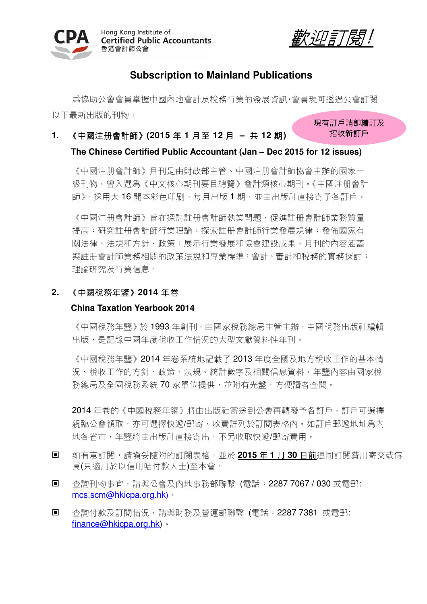



招收新訂戶

# **Subscription to Mainland Publications**

為協助公會會員掌握中國內地會計及稅務行業的發展資訊,會員現可透過公會訂閱 以下最新出版的刊物: 現有訂戶請即續訂及

**1.** 《中國注冊會計師》**(2015** 年 **1** 月至 **12** 月 **–** 共 **12** 期**)** 

### **The Chinese Certified Public Accountant (Jan – Dec 2015 for 12 issues)**

《中國注冊會計師》月刊是由財政部主管、中國注冊會計師協會主辦的國家一 級刊物,曾入選爲《中文核心期刊要目總覽》會計類核心期刊。《中國注册會計 師》,採用大16開本彩色印刷,每月出版1期,並由出版社直接寄予各訂戶。

《中國注册會計師》旨在探討註册會計師執業問題,促進註册會計師業務質量 提高;研究註册會計師行業案註册會計師行業發展規律;發佈國家有 關法律、法規和方針、政策;展示行業發展和協會建設成果。月刊的內容涵蓋 與註冊會計師業務相關的政策法規和專業標準;會計、審計和稅務的實務探討; 理論研究及行業信息。

# **2.** 《中國稅務年鑒》**2014** 年卷

### **China Taxation Yearbook 2014**

《中國稅務年鑒》於1993年創刊,由國家稅務總局主管主辦,中國稅務出版社編輯 出版,是記錄中國年度稅收工作情況的大型文獻資料性年刊。

《中國稅務年鑒》2014 年卷系統地記載了 2013 年度全國及地方稅收工作的基本情 況、稅收工作的方針、政策、法規、統計數字及相關信息資料。年鑒內容由國家稅 務總局及全國稅務系統70家單位提供,並附有光盤,方便讀者查閱。

2014 年卷的《中國稅務年鑒》將由出版社寄送到公會再轉發予各訂戶。訂戶可選擇 親臨公會領取,亦可選擇快遞/郵寄,收費詳列於訂閱表格內。如訂戶郵遞地址爲內 地各省市,年鑒將由出版社直接寄出,不另收取快遞/郵寄費用。

- 如有意訂閱,請填妥隨附的訂閱表格,並於 2015 年 1 月 30 日前連同訂閱費用寄交或傳 真(只適用於以信用咭付款人士)至本會。
- 杳詢刊物事宜,請與公會及內地事務部聯繫 (電話:2287 7067 / 030 或電郵: mcs.scm@hkicpa.org.hk)。
- 香詢付款及訂閱情況,請與財務及營運部聯繫 (電話:2287 7381 或電郵: finance@hkicpa.org.hk)。